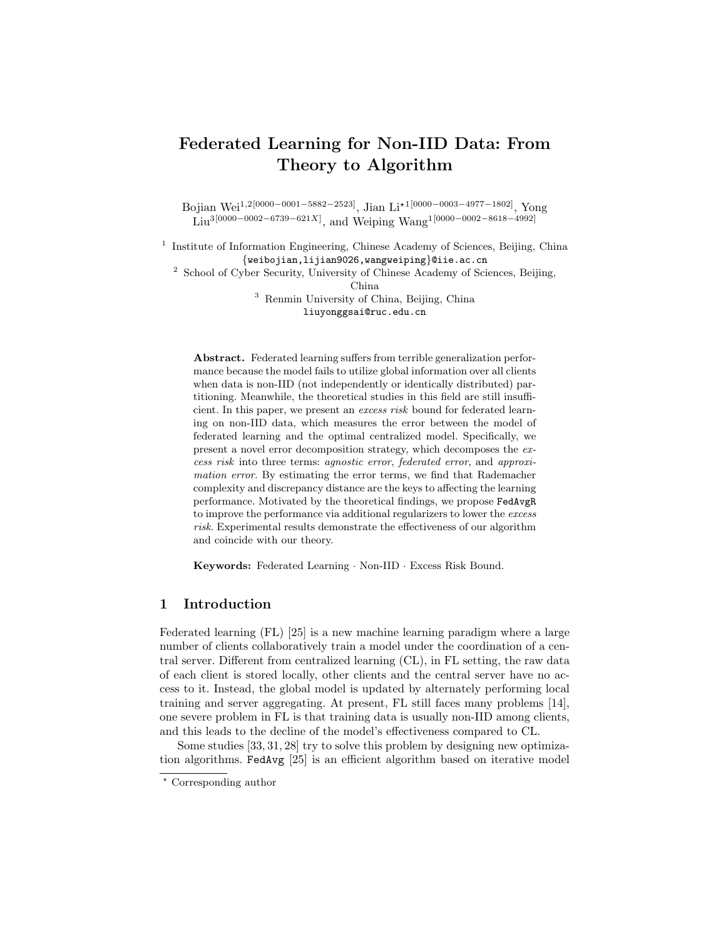# Federated Learning for Non-IID Data: From Theory to Algorithm

Bojian Wei1,2[0000−0001−5882−2523], Jian Li?1[0000−0003−4977−1802], Yong  $\text{Liu}^{3[0000-0002-6739-621X]}, \text{ and Weiping Wang}^{1[0000-0002-8618-4992]}$ 

<sup>1</sup> Institute of Information Engineering, Chinese Academy of Sciences, Beijing, China {weibojian,lijian9026,wangweiping}@iie.ac.cn

<sup>2</sup> School of Cyber Security, University of Chinese Academy of Sciences, Beijing,

China

<sup>3</sup> Renmin University of China, Beijing, China liuyonggsai@ruc.edu.cn

Abstract. Federated learning suffers from terrible generalization performance because the model fails to utilize global information over all clients when data is non-IID (not independently or identically distributed) partitioning. Meanwhile, the theoretical studies in this field are still insufficient. In this paper, we present an excess risk bound for federated learning on non-IID data, which measures the error between the model of federated learning and the optimal centralized model. Specifically, we present a novel error decomposition strategy, which decomposes the excess risk into three terms: agnostic error, federated error, and approximation error. By estimating the error terms, we find that Rademacher complexity and discrepancy distance are the keys to affecting the learning performance. Motivated by the theoretical findings, we propose FedAvgR to improve the performance via additional regularizers to lower the excess risk. Experimental results demonstrate the effectiveness of our algorithm and coincide with our theory.

Keywords: Federated Learning · Non-IID · Excess Risk Bound.

# 1 Introduction

Federated learning (FL) [25] is a new machine learning paradigm where a large number of clients collaboratively train a model under the coordination of a central server. Different from centralized learning (CL), in FL setting, the raw data of each client is stored locally, other clients and the central server have no access to it. Instead, the global model is updated by alternately performing local training and server aggregating. At present, FL still faces many problems [14], one severe problem in FL is that training data is usually non-IID among clients, and this leads to the decline of the model's effectiveness compared to CL.

Some studies [33, 31, 28] try to solve this problem by designing new optimization algorithms. FedAvg [25] is an efficient algorithm based on iterative model

<sup>?</sup> Corresponding author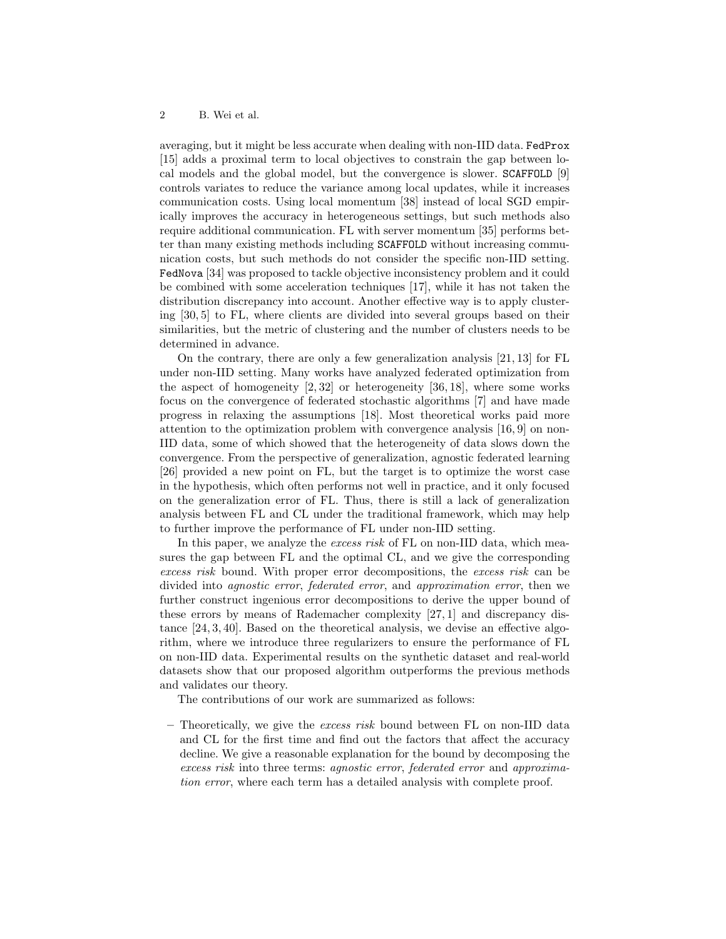averaging, but it might be less accurate when dealing with non-IID data. FedProx [15] adds a proximal term to local objectives to constrain the gap between local models and the global model, but the convergence is slower. SCAFFOLD [9] controls variates to reduce the variance among local updates, while it increases communication costs. Using local momentum [38] instead of local SGD empirically improves the accuracy in heterogeneous settings, but such methods also require additional communication. FL with server momentum [35] performs better than many existing methods including SCAFFOLD without increasing communication costs, but such methods do not consider the specific non-IID setting. FedNova [34] was proposed to tackle objective inconsistency problem and it could be combined with some acceleration techniques [17], while it has not taken the distribution discrepancy into account. Another effective way is to apply clustering [30, 5] to FL, where clients are divided into several groups based on their similarities, but the metric of clustering and the number of clusters needs to be determined in advance.

On the contrary, there are only a few generalization analysis [21, 13] for FL under non-IID setting. Many works have analyzed federated optimization from the aspect of homogeneity [2, 32] or heterogeneity [36, 18], where some works focus on the convergence of federated stochastic algorithms [7] and have made progress in relaxing the assumptions [18]. Most theoretical works paid more attention to the optimization problem with convergence analysis [16, 9] on non-IID data, some of which showed that the heterogeneity of data slows down the convergence. From the perspective of generalization, agnostic federated learning [26] provided a new point on FL, but the target is to optimize the worst case in the hypothesis, which often performs not well in practice, and it only focused on the generalization error of FL. Thus, there is still a lack of generalization analysis between FL and CL under the traditional framework, which may help to further improve the performance of FL under non-IID setting.

In this paper, we analyze the excess risk of FL on non-IID data, which measures the gap between FL and the optimal CL, and we give the corresponding excess risk bound. With proper error decompositions, the excess risk can be divided into agnostic error, federated error, and approximation error, then we further construct ingenious error decompositions to derive the upper bound of these errors by means of Rademacher complexity [27, 1] and discrepancy distance [24, 3, 40]. Based on the theoretical analysis, we devise an effective algorithm, where we introduce three regularizers to ensure the performance of FL on non-IID data. Experimental results on the synthetic dataset and real-world datasets show that our proposed algorithm outperforms the previous methods and validates our theory.

The contributions of our work are summarized as follows:

– Theoretically, we give the excess risk bound between  $FL$  on non-IID data and CL for the first time and find out the factors that affect the accuracy decline. We give a reasonable explanation for the bound by decomposing the excess risk into three terms: agnostic error, federated error and approximation error, where each term has a detailed analysis with complete proof.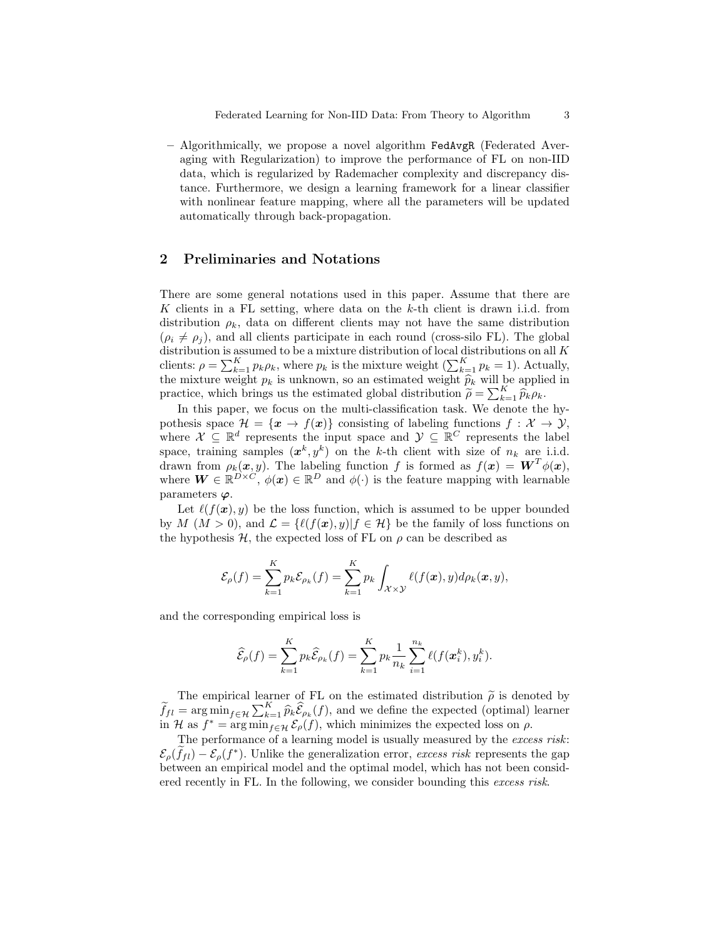– Algorithmically, we propose a novel algorithm FedAvgR (Federated Averaging with Regularization) to improve the performance of FL on non-IID data, which is regularized by Rademacher complexity and discrepancy distance. Furthermore, we design a learning framework for a linear classifier with nonlinear feature mapping, where all the parameters will be updated automatically through back-propagation.

# 2 Preliminaries and Notations

There are some general notations used in this paper. Assume that there are K clients in a FL setting, where data on the k-th client is drawn i.i.d. from distribution  $\rho_k$ , data on different clients may not have the same distribution  $(\rho_i \neq \rho_j)$ , and all clients participate in each round (cross-silo FL). The global distribution is assumed to be a mixture distribution of local distributions on all  $K$ clients:  $\rho = \sum_{k=1}^{K} p_k \rho_k$ , where  $p_k$  is the mixture weight  $(\sum_{k=1}^{K} p_k = 1)$ . Actually, the mixture weight  $p_k$  is unknown, so an estimated weight  $\widehat{p}_k$  will be applied in practice, which brings us the estimated global distribution  $\widetilde{\rho} = \sum_{k=1}^{K} \widehat{p}_k \rho_k$ .

In this paper, we focus on the multi-classification task. We denote the hypothesis space  $\mathcal{H} = {\mathbf{x} \to f(\mathbf{x})}$  consisting of labeling functions  $f : \mathcal{X} \to \mathcal{Y}$ , where  $\mathcal{X} \subseteq \mathbb{R}^d$  represents the input space and  $\mathcal{Y} \subseteq \mathbb{R}^C$  represents the label space, training samples  $(x^k, y^k)$  on the k-th client with size of  $n_k$  are i.i.d. drawn from  $\rho_k(x, y)$ . The labeling function f is formed as  $f(x) = \boldsymbol{W}^T \phi(x)$ , where  $\mathbf{W} \in \mathbb{R}^{D \times C}$ ,  $\phi(\mathbf{x}) \in \mathbb{R}^{D}$  and  $\phi(\cdot)$  is the feature mapping with learnable parameters  $\varphi$ .

Let  $\ell(f(\mathbf{x}), y)$  be the loss function, which is assumed to be upper bounded by M  $(M > 0)$ , and  $\mathcal{L} = \{ \ell(f(\boldsymbol{x}), y) | f \in \mathcal{H} \}$  be the family of loss functions on the hypothesis  $H$ , the expected loss of FL on  $\rho$  can be described as

$$
\mathcal{E}_{\rho}(f) = \sum_{k=1}^{K} p_k \mathcal{E}_{\rho_k}(f) = \sum_{k=1}^{K} p_k \int_{\mathcal{X} \times \mathcal{Y}} \ell(f(\boldsymbol{x}), y) d\rho_k(\boldsymbol{x}, y),
$$

and the corresponding empirical loss is

$$
\widehat{\mathcal{E}}_{\rho}(f) = \sum_{k=1}^{K} p_k \widehat{\mathcal{E}}_{\rho_k}(f) = \sum_{k=1}^{K} p_k \frac{1}{n_k} \sum_{i=1}^{n_k} \ell(f(\mathbf{x}_i^k), y_i^k).
$$

The empirical learner of FL on the estimated distribution  $\tilde{\rho}$  is denoted by<br> $= \text{arg min} \sum_{k=1}^{K} \hat{\epsilon}(t)$  and we define the expected (ortimal) learner  $\widetilde{f}_{fl} = \arg \min_{f \in \mathcal{H}} \sum_{k=1}^K \widehat{p}_k \widehat{\mathcal{E}}_{\rho_k}(f)$ , and we define the expected (optimal) learner in H as  $f^* = \arg \min_{f \in \mathcal{H}} \mathcal{E}_{\rho}(f)$ , which minimizes the expected loss on  $\rho$ .

The performance of a learning model is usually measured by the excess risk:  $\mathcal{E}_{\rho}(\tilde{f}_{fl}) - \mathcal{E}_{\rho}(f^*)$ . Unlike the generalization error, excess risk represents the gap between an empirical model and the optimal model, which has not been considered recently in FL. In the following, we consider bounding this excess risk.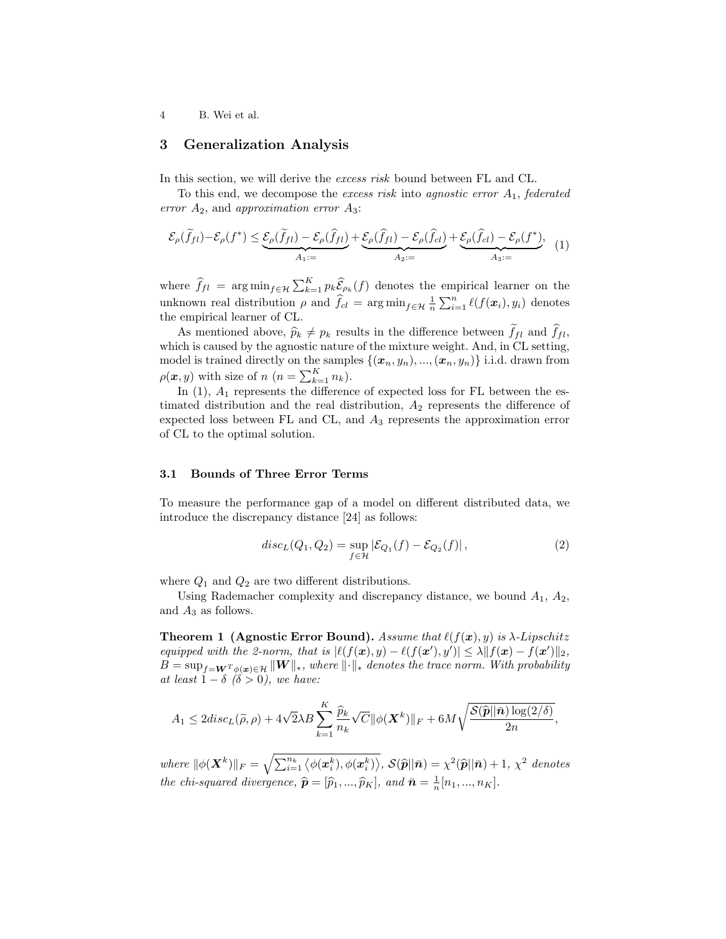# 3 Generalization Analysis

In this section, we will derive the *excess risk* bound between FL and CL.

To this end, we decompose the excess risk into agnostic error  $A_1$ , federated error  $A_2$ , and approximation error  $A_3$ :

$$
\mathcal{E}_{\rho}(\widetilde{f}_{fl}) - \mathcal{E}_{\rho}(f^*) \leq \underbrace{\mathcal{E}_{\rho}(\widetilde{f}_{fl}) - \mathcal{E}_{\rho}(\widehat{f}_{fl})}_{A_1:=} + \underbrace{\mathcal{E}_{\rho}(\widehat{f}_{fl}) - \mathcal{E}_{\rho}(\widehat{f}_{cl})}_{A_2:=} + \underbrace{\mathcal{E}_{\rho}(\widehat{f}_{cl}) - \mathcal{E}_{\rho}(f^*)}_{A_3:=} \tag{1}
$$

where  $\hat{f}_{fl} = \arg \min_{f \in \mathcal{H}} \sum_{k=1}^{K} p_k \hat{\mathcal{E}}_{\rho_k}(f)$  denotes the empirical learner on the unknown real distribution  $\rho$  and  $\hat{f}_{cl} = \arg \min_{f \in \mathcal{H}} \frac{1}{n} \sum_{i=1}^{n} \ell(f(\boldsymbol{x}_i), y_i)$  denotes the empirical learner of CL.

As mentioned above,  $\hat{p}_k \neq p_k$  results in the difference between  $\tilde{f}_{fl}$  and  $\hat{f}_{fl}$ , which is caused by the agnostic nature of the mixture weight. And, in CL setting, model is trained directly on the samples  $\{(\boldsymbol{x}_n, y_n), ..., (\boldsymbol{x}_n, y_n)\}\$  i.i.d. drawn from  $\rho(\boldsymbol{x}, y)$  with size of  $n (n = \sum_{k=1}^{K} n_k)$ .

In  $(1)$ ,  $A_1$  represents the difference of expected loss for FL between the estimated distribution and the real distribution,  $A_2$  represents the difference of expected loss between FL and CL, and  $A_3$  represents the approximation error of CL to the optimal solution.

## 3.1 Bounds of Three Error Terms

To measure the performance gap of a model on different distributed data, we introduce the discrepancy distance [24] as follows:

$$
disc_L(Q_1, Q_2) = \sup_{f \in \mathcal{H}} |\mathcal{E}_{Q_1}(f) - \mathcal{E}_{Q_2}(f)|,
$$
\n(2)

where  $Q_1$  and  $Q_2$  are two different distributions.

Using Rademacher complexity and discrepancy distance, we bound  $A_1$ ,  $A_2$ , and  $A_3$  as follows.

**Theorem 1 (Agnostic Error Bound).** Assume that  $\ell(f(x), y)$  is  $\lambda$ -Lipschitz equipped with the 2-norm, that is  $|\ell(f(\boldsymbol{x}), y) - \ell(f(\boldsymbol{x}'), y')| \leq \lambda ||f(\boldsymbol{x}) - f(\boldsymbol{x}')||_2$ ,  $B = \sup_{f=W^T \phi(\bm{x}) \in \mathcal{H}} ||\bm{W}||_*$ , where  $||\cdot||_*$  denotes the trace norm. With probability at least  $1 - \delta$  ( $\delta > 0$ ), we have:

$$
A_1 \leq 2disc_L(\widetilde{\rho}, \rho) + 4\sqrt{2\lambda B} \sum_{k=1}^K \frac{\widehat{p}_k}{n_k} \sqrt{C} ||\phi(\boldsymbol{X}^k)||_F + 6M \sqrt{\frac{\mathcal{S}(\widehat{\boldsymbol{p}}||\bar{\boldsymbol{n}})\log(2/\delta)}{2n}},
$$

where  $\|\phi(\boldsymbol{X}^k)\|_F = \sqrt{\sum_{i=1}^{n_k} \langle \phi(\boldsymbol{x}_i^k), \phi(\boldsymbol{x}_i^k) \rangle}, \ \mathcal{S}(\widehat{\boldsymbol{p}}||\bar{\boldsymbol{n}}) = \chi^2(\widehat{\boldsymbol{p}}||\bar{\boldsymbol{n}}) + 1, \ \chi^2$  denotes the chi-squared divergence,  $\hat{\boldsymbol{p}} = [\hat{p}_1, ..., \hat{p}_K]$ , and  $\bar{\boldsymbol{n}} = \frac{1}{n}[n_1, ..., n_K]$ .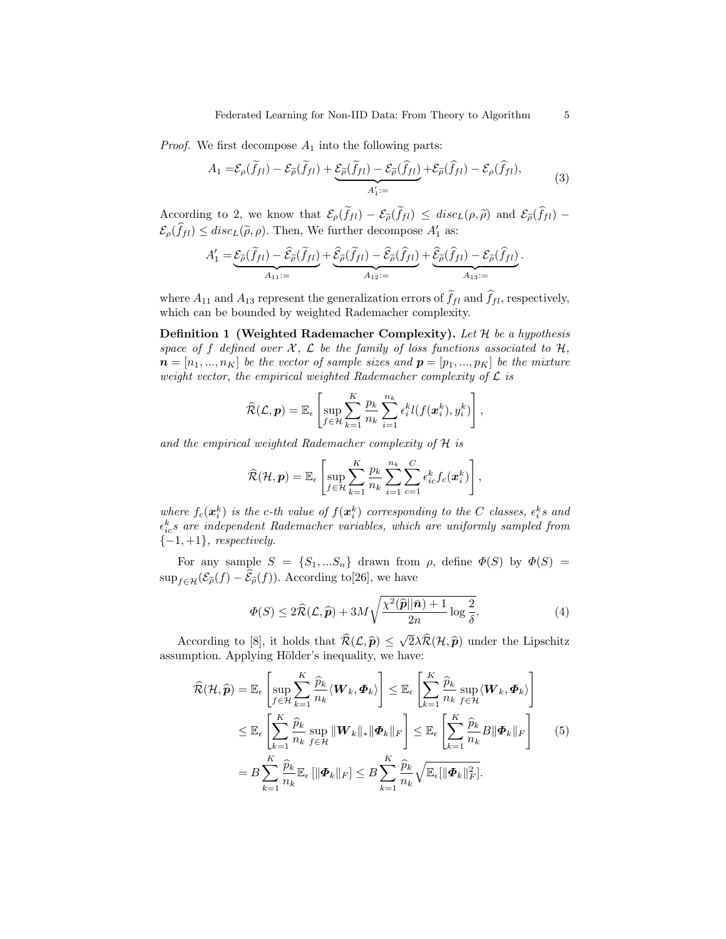*Proof.* We first decompose  $A_1$  into the following parts:

$$
A_1 = \mathcal{E}_{\rho}(\widetilde{f}_{fl}) - \mathcal{E}_{\widetilde{\rho}}(\widetilde{f}_{fl}) + \underbrace{\mathcal{E}_{\widetilde{\rho}}(\widetilde{f}_{fl}) - \mathcal{E}_{\widetilde{\rho}}(\widehat{f}_{fl})}_{A'_1 :=} + \mathcal{E}_{\widetilde{\rho}}(\widehat{f}_{fl}) - \mathcal{E}_{\rho}(\widehat{f}_{fl}),
$$
\n(3)

According to 2, we know that  $\mathcal{E}_{\rho}(\tilde{f}_{fl}) - \mathcal{E}_{\tilde{\rho}}(\tilde{f}_{fl}) \leq disc_L(\rho, \tilde{\rho})$  and  $\mathcal{E}_{\tilde{\rho}}(\hat{f}_{fl}) \mathcal{E}_{\rho}(\hat{f}_{fl}) \leq disc_L(\tilde{\rho}, \rho)$ . Then, We further decompose  $A'_1$  as:

$$
A'_1 = \underbrace{\mathcal{E}_{\widetilde{\rho}}(\widetilde{f}_{fl}) - \widehat{\mathcal{E}}_{\widetilde{\rho}}(\widetilde{f}_{fl})}_{A_{11} :=} + \underbrace{\widehat{\mathcal{E}}_{\widetilde{\rho}}(\widetilde{f}_{fl}) - \widehat{\mathcal{E}}_{\widetilde{\rho}}(\widehat{f}_{fl})}_{A_{12} :=} + \underbrace{\widehat{\mathcal{E}}_{\widetilde{\rho}}(\widehat{f}_{fl}) - \mathcal{E}_{\widetilde{\rho}}(\widehat{f}_{fl})}_{A_{13} :=}.
$$

where  $A_{11}$  and  $A_{13}$  represent the generalization errors of  $\tilde{f}_{fl}$  and  $\hat{f}_{fl}$ , respectively, which can be bounded by weighted Rademacher complexity.

**Definition 1 (Weighted Rademacher Complexity).** Let  $\mathcal{H}$  be a hypothesis space of f defined over  $\mathcal{X}, \mathcal{L}$  be the family of loss functions associated to  $\mathcal{H},$  $\boldsymbol{n} = [n_1, ..., n_K]$  be the vector of sample sizes and  $\boldsymbol{p} = [p_1, ..., p_K]$  be the mixture weight vector, the empirical weighted Rademacher complexity of  $\mathcal L$  is

$$
\widehat{\mathcal{R}}(\mathcal{L}, \boldsymbol{p}) = \mathbb{E}_{\epsilon} \left[ \sup_{f \in \mathcal{H}} \sum_{k=1}^{K} \frac{p_k}{n_k} \sum_{i=1}^{n_k} \epsilon_i^k l(f(\boldsymbol{x}_i^k), y_i^k) \right],
$$

and the empirical weighted Rademacher complexity of  $H$  is

$$
\widehat{\mathcal{R}}(\mathcal{H}, \boldsymbol{p}) = \mathbb{E}_{\epsilon} \left[ \sup_{f \in \mathcal{H}} \sum_{k=1}^{K} \frac{p_k}{n_k} \sum_{i=1}^{n_k} \sum_{c=1}^{C} \epsilon_{ic}^k f_c(\boldsymbol{x}_i^k) \right],
$$

where  $f_c(\boldsymbol{x}_i^k)$  is the c-th value of  $f(\boldsymbol{x}_i^k)$  corresponding to the C classes,  $\epsilon_i^k s$  and  $\epsilon_{ic}^k s$  are independent Rademacher variables, which are uniformly sampled from  ${-1,+1}$ , respectively.

For any sample  $S = \{S_1, ... S_n\}$  drawn from  $\rho$ , define  $\Phi(S)$  by  $\Phi(S)$  =  $\sup_{f \in \mathcal{H}} (\mathcal{E}_{\tilde{\rho}}(f) - \widehat{\mathcal{E}}_{\tilde{\rho}}(f)).$  According to [26], we have

$$
\Phi(S) \le 2\hat{\mathcal{R}}(\mathcal{L}, \hat{\mathbf{p}}) + 3M \sqrt{\frac{\chi^2(\hat{\mathbf{p}}||\bar{\mathbf{n}}) + 1}{2n} \log \frac{2}{\delta}}.
$$
\n(4)

According to [8], it holds that  $\mathcal{R}(\mathcal{L}, \hat{\boldsymbol{p}}) \le$ <br>unption Applying Hölder's inequality we  $2\lambda \mathcal{R}(\mathcal{H}, \widehat{\boldsymbol{p}})$  under the Lipschitz<br>vo: assumption. Applying Hölder's inequality, we have:

$$
\widehat{\mathcal{R}}(\mathcal{H}, \widehat{\boldsymbol{p}}) = \mathbb{E}_{\epsilon} \left[ \sup_{f \in \mathcal{H}} \sum_{k=1}^{K} \frac{\widehat{p}_{k}}{n_{k}} \langle \boldsymbol{W}_{k}, \boldsymbol{\Phi}_{k} \rangle \right] \leq \mathbb{E}_{\epsilon} \left[ \sum_{k=1}^{K} \frac{\widehat{p}_{k}}{n_{k}} \sup_{f \in \mathcal{H}} \langle \boldsymbol{W}_{k}, \boldsymbol{\Phi}_{k} \rangle \right]
$$
\n
$$
\leq \mathbb{E}_{\epsilon} \left[ \sum_{k=1}^{K} \frac{\widehat{p}_{k}}{n_{k}} \sup_{f \in \mathcal{H}} \|\boldsymbol{W}_{k}\|_{*} \|\boldsymbol{\Phi}_{k}\|_{F} \right] \leq \mathbb{E}_{\epsilon} \left[ \sum_{k=1}^{K} \frac{\widehat{p}_{k}}{n_{k}} B \|\boldsymbol{\Phi}_{k}\|_{F} \right]
$$
\n
$$
= B \sum_{k=1}^{K} \frac{\widehat{p}_{k}}{n_{k}} \mathbb{E}_{\epsilon} [\|\boldsymbol{\Phi}_{k}\|_{F}] \leq B \sum_{k=1}^{K} \frac{\widehat{p}_{k}}{n_{k}} \sqrt{\mathbb{E}_{\epsilon} [\|\boldsymbol{\Phi}_{k}\|_{F}^{2}]}.
$$
\n
$$
(5)
$$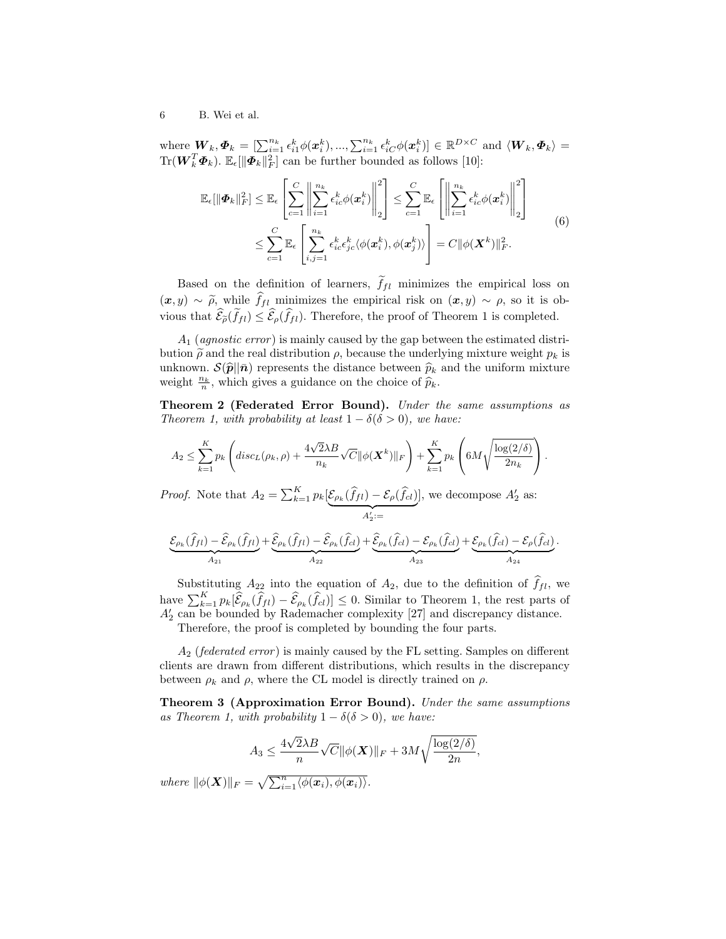where  $\mathbf{W}_k, \boldsymbol{\Phi}_k = \left[\sum_{i=1}^{n_k} \epsilon_{i1}^k \phi(\boldsymbol{x}_i^k), ..., \sum_{i=1}^{n_k} \epsilon_{iC}^k \phi(\boldsymbol{x}_i^k)\right] \in \mathbb{R}^{D \times C}$  and  $\langle \boldsymbol{W}_k, \boldsymbol{\Phi}_k \rangle =$  $\text{Tr}(\boldsymbol{W}_k^T\boldsymbol{\varPhi}_k)$ .  $\mathbb{E}_{\epsilon}[\|\boldsymbol{\varPhi}_k\|_F^2]$  can be further bounded as follows [10]:

$$
\mathbb{E}_{\epsilon}[\|\boldsymbol{\Phi}_{k}\|_{F}^{2}] \leq \mathbb{E}_{\epsilon} \left[ \sum_{c=1}^{C} \left\| \sum_{i=1}^{n_{k}} \epsilon_{ic}^{k} \phi(\boldsymbol{x}_{i}^{k}) \right\|_{2}^{2} \right] \leq \sum_{c=1}^{C} \mathbb{E}_{\epsilon} \left[ \left\| \sum_{i=1}^{n_{k}} \epsilon_{ic}^{k} \phi(\boldsymbol{x}_{i}^{k}) \right\|_{2}^{2} \right]
$$
  

$$
\leq \sum_{c=1}^{C} \mathbb{E}_{\epsilon} \left[ \sum_{i,j=1}^{n_{k}} \epsilon_{ic}^{k} \epsilon_{jc}^{k} \langle \phi(\boldsymbol{x}_{i}^{k}), \phi(\boldsymbol{x}_{j}^{k}) \rangle \right] = C \|\phi(\boldsymbol{X}^{k})\|_{F}^{2}.
$$
 (6)

Based on the definition of learners,  $\tilde{f}_{fl}$  minimizes the empirical loss on  $(x, y) \sim \tilde{\rho}$ , while  $\hat{f}_{fl}$  minimizes the empirical risk on  $(x, y) \sim \rho$ , so it is obvious that  $\widehat{\mathcal{E}}_{\widetilde{\rho}}(\widetilde{f}_{fl}) \leq \widehat{\mathcal{E}}_{\rho}(\widehat{f}_{fl})$ . Therefore, the proof of Theorem 1 is completed.

 $A_1$  (*agnostic error*) is mainly caused by the gap between the estimated distribution  $\tilde{\rho}$  and the real distribution  $\rho$ , because the underlying mixture weight  $p_k$  is unknown.  $\mathcal{S}(\hat{p}||\bar{n})$  represents the distance between  $\hat{p}_k$  and the uniform mixture weight  $\frac{n_k}{n}$ , which gives a guidance on the choice of  $\widehat{p}_k$ .

Theorem 2 (Federated Error Bound). Under the same assumptions as Theorem 1, with probability at least  $1 - \delta(\delta > 0)$ , we have:

$$
A_2 \leq \sum_{k=1}^K p_k \left( \text{disc}_L(\rho_k, \rho) + \frac{4\sqrt{2\lambda B}}{n_k} \sqrt{C} ||\phi(\boldsymbol{X}^k)||_F \right) + \sum_{k=1}^K p_k \left( 6M \sqrt{\frac{\log(2/\delta)}{2n_k}} \right).
$$

*Proof.* Note that  $A_2 = \sum_{k=1}^{K} p_k \left[ \mathcal{E}_{\rho_k}(\hat{f}_{fl}) - \mathcal{E}_{\rho}(\hat{f}_{cl}) \right]$  $A'_2:=$ 2 ], we decompose  $A'_2$  as:

$$
\underbrace{\mathcal{E}_{\rho_k}(\widehat{f}_{fl}) - \widehat{\mathcal{E}}_{\rho_k}(\widehat{f}_{fl})}_{A_{21}} + \underbrace{\widehat{\mathcal{E}}_{\rho_k}(\widehat{f}_{fl}) - \widehat{\mathcal{E}}_{\rho_k}(\widehat{f}_{cl})}_{A_{22}} + \underbrace{\widehat{\mathcal{E}}_{\rho_k}(\widehat{f}_{cl}) - \mathcal{E}_{\rho_k}(\widehat{f}_{cl})}_{A_{23}} + \underbrace{\mathcal{E}_{\rho_k}(\widehat{f}_{cl}) - \mathcal{E}_{\rho}(\widehat{f}_{cl})}_{A_{24}}.
$$

Substituting  $A_{22}$  into the equation of  $A_2$ , due to the definition of  $\hat{f}_{fl}$ , we have  $\sum_{k=1}^{K} p_k[\hat{\mathcal{E}}_{\rho_k}(\hat{f}_{fl}) - \hat{\mathcal{E}}_{\rho_k}(\hat{f}_{cl})] \leq 0$ . Similar to Theorem 1, the rest parts of  $A'_2$  can be bounded by Rademacher complexity [27] and discrepancy distance.

Therefore, the proof is completed by bounding the four parts.

 $A_2$  (*federated error*) is mainly caused by the FL setting. Samples on different clients are drawn from different distributions, which results in the discrepancy between  $\rho_k$  and  $\rho$ , where the CL model is directly trained on  $\rho$ .

Theorem 3 (Approximation Error Bound). Under the same assumptions as Theorem 1, with probability  $1 - \delta(\delta > 0)$ , we have:

$$
A_3 \le \frac{4\sqrt{2}\lambda B}{n} \sqrt{C} \|\phi(\boldsymbol{X})\|_F + 3M\sqrt{\frac{\log(2/\delta)}{2n}},
$$

where  $\|\phi(\boldsymbol{X})\|_F = \sqrt{\sum_{i=1}^n \langle \phi(\boldsymbol{x}_i), \phi(\boldsymbol{x}_i)\rangle}.$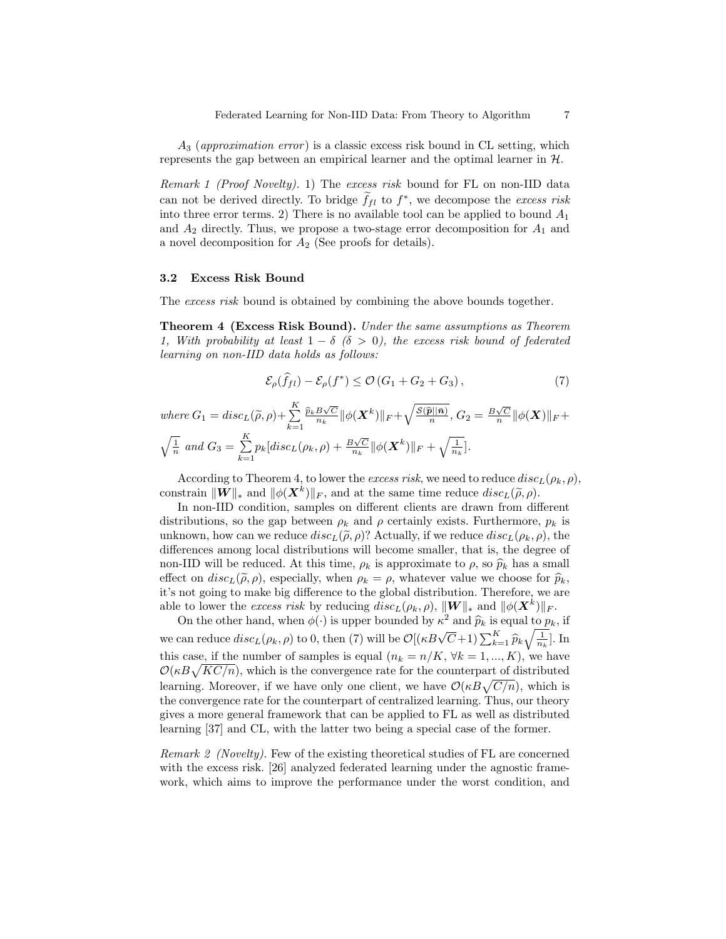$A_3$  (approximation error) is a classic excess risk bound in CL setting, which represents the gap between an empirical learner and the optimal learner in  $H$ .

Remark 1 (Proof Novelty). 1) The excess risk bound for FL on non-IID data can not be derived directly. To bridge  $\tilde{f}_{fl}$  to  $f^*$ , we decompose the excess risk into three error terms. 2) There is no available tool can be applied to bound  $A_1$ and  $A_2$  directly. Thus, we propose a two-stage error decomposition for  $A_1$  and a novel decomposition for  $A_2$  (See proofs for details).

## 3.2 Excess Risk Bound

The excess risk bound is obtained by combining the above bounds together.

Theorem 4 (Excess Risk Bound). Under the same assumptions as Theorem 1, With probability at least  $1 - \delta$  ( $\delta > 0$ ), the excess risk bound of federated learning on non-IID data holds as follows:

$$
\mathcal{E}_{\rho}(\widehat{f}_{fl}) - \mathcal{E}_{\rho}(f^*) \le \mathcal{O}\left(G_1 + G_2 + G_3\right),\tag{7}
$$

where  $G_1 = disc_L(\widetilde{\rho}, \rho) + \sum_{k=1}^K$  $k=1$  $\frac{\widehat{p}_k B \sqrt{C}}{n_k} \| \phi(\boldsymbol{X}^k) \|_F \!+\! \sqrt{\frac{\mathcal{S}(\widehat{\boldsymbol{p}} \| \bar{\boldsymbol{n}})}{n}}, G_2 = \frac{B \sqrt{C}}{n} \| \phi(\boldsymbol{X}) \|_F +$  $\sqrt{\frac{1}{n}}$  and  $G_3 = \sum_{n=1}^{K}$  $\sum_{k=1}^K p_k [disc_L(\rho_k, \rho) + \frac{B\sqrt{C}}{n_k} ||\phi(\boldsymbol{X}^k)||_F + \sqrt{\frac{1}{n_k}}].$ 

According to Theorem 4, to lower the excess risk, we need to reduce  $disc<sub>L</sub>(\rho<sub>k</sub>, \rho)$ , constrain  $\|\mathbf{W}\|_{*}$  and  $\|\phi(\mathbf{X}^{k})\|_{F}$ , and at the same time reduce  $disc_{L}(\tilde{\rho}, \rho)$ .<br>In non IID condition, samples on different clients are drawn from dif-

In non-IID condition, samples on different clients are drawn from different distributions, so the gap between  $\rho_k$  and  $\rho$  certainly exists. Furthermore,  $p_k$  is unknown, how can we reduce  $disc_L(\tilde{\rho}, \rho)$ ? Actually, if we reduce  $disc_L(\rho_k, \rho)$ , the differences among local distributions will become smaller, that is, the degree of non-IID will be reduced. At this time,  $\rho_k$  is approximate to  $\rho$ , so  $\hat{p}_k$  has a small effect on  $disc_L(\tilde{\rho}, \rho)$ , especially, when  $\rho_k = \rho$ , whatever value we choose for  $\hat{\rho}_k$ , it's not going to make big difference to the global distribution. Therefore, we are able to lower the excess risk by reducing  $disc_L(\rho_k, \rho)$ ,  $||\boldsymbol{W}||_*$  and  $||\phi(\boldsymbol{X}^k)||_F$ .

On the other hand, when  $\phi(\cdot)$  is upper bounded by  $\kappa^2$  and  $\widehat{p}_k$  is equal to  $p_k$ , if we can reduce  $disc_L(\rho_k, \rho)$  to 0, then (7) will be  $\mathcal{O}[(\kappa B \sqrt{C}+1)\sum_{k=1}^K \hat{p}_k \sqrt{\frac{1}{n_k}}]$ . In this case, if the number of samples is equal  $(n_k = n/K, \forall k = 1, ..., K)$ , we have  $\mathcal{O}(\kappa B \sqrt{KC/n})$ , which is the convergence rate for the counterpart of distributed learning. Moreover, if we have only one client, we have  $\mathcal{O}(\kappa B \sqrt{C/n})$ , which is the convergence rate for the counterpart of centralized learning. Thus, our theory gives a more general framework that can be applied to FL as well as distributed learning [37] and CL, with the latter two being a special case of the former.

Remark 2 (Novelty). Few of the existing theoretical studies of FL are concerned with the excess risk. [26] analyzed federated learning under the agnostic framework, which aims to improve the performance under the worst condition, and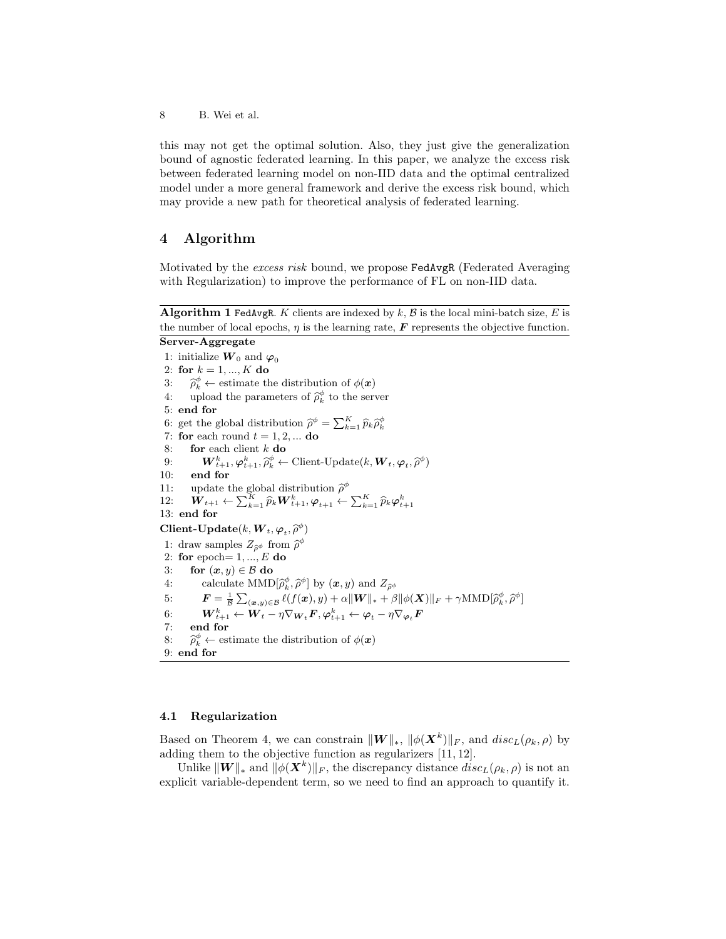this may not get the optimal solution. Also, they just give the generalization bound of agnostic federated learning. In this paper, we analyze the excess risk between federated learning model on non-IID data and the optimal centralized model under a more general framework and derive the excess risk bound, which may provide a new path for theoretical analysis of federated learning.

# 4 Algorithm

Motivated by the excess risk bound, we propose FedAvgR (Federated Averaging with Regularization) to improve the performance of FL on non-IID data.

Algorithm 1 FedAvgR. K clients are indexed by  $k$ ,  $\beta$  is the local mini-batch size,  $E$  is the number of local epochs,  $\eta$  is the learning rate,  $\boldsymbol{F}$  represents the objective function.

Server-Aggregate

1: initialize  $W_0$  and  $\varphi_0$ 2: for  $k = 1, ..., K$  do 3:  $\hat{\rho}_k^{\phi} \leftarrow$  estimate the distribution of  $\phi(\bm{x})$ 4: upload the parameters of  $\hat{\rho}_k^{\phi}$  to the server 5: end for 6: get the global distribution  $\hat{\rho}^{\phi} = \sum_{k=1}^{K} \hat{p}_k \hat{\rho}_k^{\phi}$ <br>7. for each name  $t = 1, 2, \ldots, d$ 7: for each round  $t = 1, 2, ...$  do 8: **for** each client  $k$  **do** 9:  $\mathbf{W}_{t+1}^k, \varphi_{t+1}^k, \widehat{\rho}_k^{\phi} \leftarrow \text{Client-Update}(k, \mathbf{W}_t, \varphi_t, \widehat{\rho}^{\phi})$ <br>
(i) and for 10: end for 11: update the global distribution  $\hat{\rho}^{\phi}$  $12: \quad \boldsymbol{W}_{t+1} \leftarrow \sum_{k=1}^K \widehat{p}_k \boldsymbol{W}_{t+1}^k, \boldsymbol{\varphi}_{t+1} \leftarrow \sum_{k=1}^K \widehat{p}_k \boldsymbol{\varphi}_{t+1}^k,$ 13: end for  $\text{Client-Update}(k, \boldsymbol{W}_t, \boldsymbol{\varphi}_t, \widehat{\rho}^{\phi})$ 1: draw samples  $Z_{\hat{\rho}\phi}$  from  $\hat{\rho}^{\phi}$ <br>
2: for enoth  $Z_{\hat{\rho}}$   $F$  do 2: for epoch=  $1, ..., E$  do 3: for  $(x, y) \in \mathcal{B}$  do 4: calculate  $\text{MMD}[\hat{\rho}_k^{\varrho}, \hat{\rho}^{\varphi}]$  by  $(\boldsymbol{x}, y)$  and  $Z_{\hat{\rho}\phi}$ <br>
5:  $\boldsymbol{F} = \frac{1}{\mathcal{B}} \sum_{(\boldsymbol{x}, y) \in \mathcal{B}} \ell(f(\boldsymbol{x}), y) + \alpha \|\boldsymbol{W}\|_{*} + \beta \|\phi(\boldsymbol{X})\|_{F} + \gamma \text{MMD}[\hat{\rho}_k^{\phi}, \hat{\rho}^{\phi}]$ φ φ 6:  $\boldsymbol{W}_{t+1}^k \leftarrow \boldsymbol{W}_t - \eta \nabla_{\boldsymbol{W}_t} \boldsymbol{F}, \boldsymbol{\varphi}_{t+1}^k \leftarrow \boldsymbol{\varphi}_t - \eta \nabla_{\boldsymbol{\varphi}_t} \boldsymbol{F}$ 7: end for  $8: \quad \widehat{\rho}_k^\phi \leftarrow \ 9: \textbf{ end for}$  $\phi_k^{\phi} \leftarrow$  estimate the distribution of  $\phi(\boldsymbol{x})$ 

## 4.1 Regularization

Based on Theorem 4, we can constrain  $\|\boldsymbol{W}\|_{*}$ ,  $\|\phi(\boldsymbol{X}^{k})\|_{F}$ , and  $disc_{L}(\rho_{k}, \rho)$  by adding them to the objective function as regularizers [11, 12].

Unlike  $\|\boldsymbol{W}\|_{*}$  and  $\|\phi(\boldsymbol{X}^{k})\|_{F}$ , the discrepancy distance  $disc_{L}(\rho_{k}, \rho)$  is not an explicit variable-dependent term, so we need to find an approach to quantify it.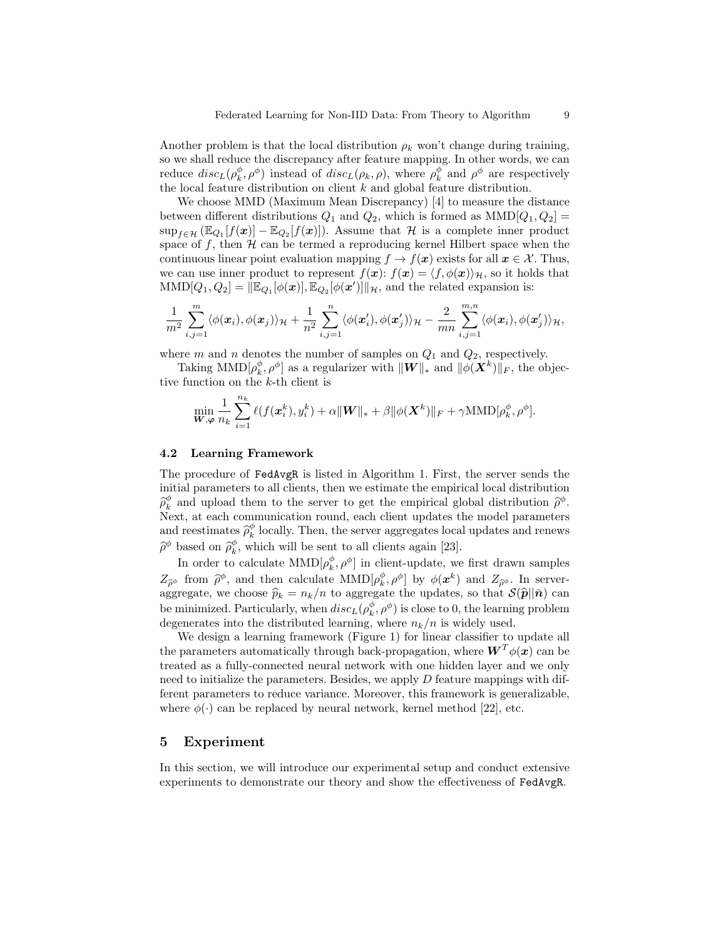Another problem is that the local distribution  $\rho_k$  won't change during training, so we shall reduce the discrepancy after feature mapping. In other words, we can reduce  $disc_L(\rho_k^{\phi}, \rho^{\phi})$  instead of  $disc_L(\rho_k, \rho)$ , where  $\rho_k^{\phi}$  and  $\rho^{\phi}$  are respectively the local feature distribution on client  $k$  and global feature distribution.

We choose MMD (Maximum Mean Discrepancy) [4] to measure the distance between different distributions  $Q_1$  and  $Q_2$ , which is formed as  $MMD[Q_1, Q_2] =$  $\sup_{f \in \mathcal{H}} (\mathbb{E}_{Q_1}[f(\boldsymbol{x})] - \mathbb{E}_{Q_2}[f(\boldsymbol{x})])$ . Assume that  $\mathcal{H}$  is a complete inner product space of f, then  $H$  can be termed a reproducing kernel Hilbert space when the continuous linear point evaluation mapping  $f \to f(x)$  exists for all  $x \in \mathcal{X}$ . Thus, we can use inner product to represent  $f(x)$ :  $f(x) = \langle f, \phi(x) \rangle_{\mathcal{H}}$ , so it holds that  $\text{MMD}[Q_1, Q_2] = \|\mathbb{E}_{Q_1}[\phi(\boldsymbol{x})], \mathbb{E}_{Q_2}[\phi(\boldsymbol{x}')] \|_{\mathcal{H}}$ , and the related expansion is:

$$
\frac{1}{m^2}\sum_{i,j=1}^m\langle \phi(\mathbf{x}_i),\phi(\mathbf{x}_j)\rangle_{\mathcal{H}}+\frac{1}{n^2}\sum_{i,j=1}^n\langle \phi(\mathbf{x}'_i),\phi(\mathbf{x}'_j)\rangle_{\mathcal{H}}-\frac{2}{mn}\sum_{i,j=1}^{m,n}\langle \phi(\mathbf{x}_i),\phi(\mathbf{x}'_j)\rangle_{\mathcal{H}},
$$

where m and n denotes the number of samples on  $Q_1$  and  $Q_2$ , respectively.

Taking MMD $[\rho_k^{\phi}, \rho^{\phi}]$  as a regularizer with  $\|W\|_{*}$  and  $\|\phi(\bm{X}^k)\|_F$ , the objective function on the k-th client is

$$
\min_{\boldsymbol{W},\boldsymbol{\varphi}}\frac{1}{n_k}\sum_{i=1}^{n_k}\ell(f(\boldsymbol{x}_i^k),y_i^k)+\alpha\|\boldsymbol{W}\|_{*}+\beta\|\phi(\boldsymbol{X}^k)\|_F+\gamma \text{MMD}[\rho_k^{\phi},\rho^{\phi}].
$$

#### 4.2 Learning Framework

The procedure of FedAvgR is listed in Algorithm 1. First, the server sends the initial parameters to all clients, then we estimate the empirical local distribution  $\widehat{\rho}_{k}^{\phi}$  and upload them to the server to get the empirical global distribution  $\widehat{\rho}^{\phi}$ .<br>Next, at each communication round, each client undates the model parameters Next, at each communication round, each client updates the model parameters and reestimates  $\hat{\rho}_k^{\phi}$  locally. Then, the server aggregates local updates and renews  $\widehat{\rho}^{\phi}$  based on  $\widehat{\rho}_{k}^{\phi}$ , which will be sent to all clients again [23].

In order to calculate  $\mathrm{MMD}[\rho^{\phi}_k, \rho^{\phi}]$  in client-update, we first drawn samples  $Z_{\hat{\rho}^{\phi}}$  from  $\hat{\rho}^{\phi}$ , and then calculate  $\text{MMD}[\rho^{\phi}_{k}, \rho^{\phi}]$  by  $\phi(\mathbf{x}^{k})$  and  $Z_{\hat{\rho}^{\phi}}$ . In server-<br>parameter we choose  $\hat{\mathbf{x}}_k = n_k/n$  to aggregate the undator so that  $S(\hat{\mathbf{x}}||\hat{\mathbf{x}})$  can aggregate, we choose  $\hat{p}_k = n_k/n$  to aggregate the updates, so that  $\mathcal{S}(\hat{p}||\bar{n})$  can be minimized. Particularly, when  $disc_L(\rho_k^{\phi}, \rho^{\phi})$  is close to 0, the learning problem degenerates into the distributed learning, where  $n_k/n$  is widely used.

We design a learning framework (Figure 1) for linear classifier to update all the parameters automatically through back-propagation, where  $\boldsymbol{W}^T \phi(\boldsymbol{x})$  can be treated as a fully-connected neural network with one hidden layer and we only need to initialize the parameters. Besides, we apply  $D$  feature mappings with different parameters to reduce variance. Moreover, this framework is generalizable, where  $\phi(\cdot)$  can be replaced by neural network, kernel method [22], etc.

## 5 Experiment

In this section, we will introduce our experimental setup and conduct extensive experiments to demonstrate our theory and show the effectiveness of FedAvgR.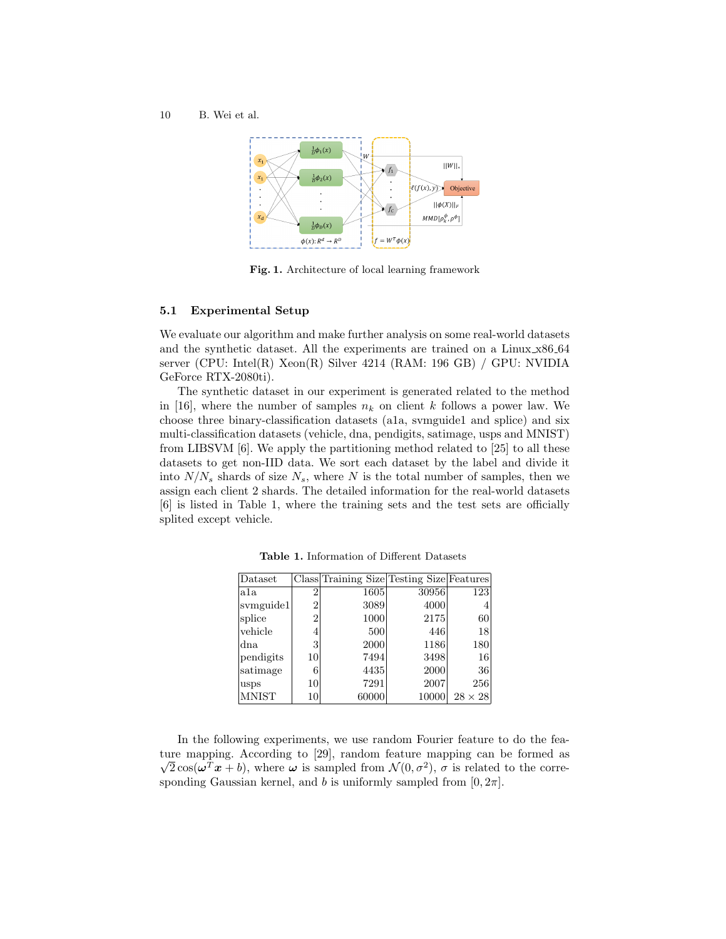10 B. Wei et al.



Fig. 1. Architecture of local learning framework

## 5.1 Experimental Setup

We evaluate our algorithm and make further analysis on some real-world datasets and the synthetic dataset. All the experiments are trained on a Linux x86 64 server (CPU: Intel(R) Xeon(R) Silver 4214 (RAM: 196 GB) / GPU: NVIDIA GeForce RTX-2080ti).

The synthetic dataset in our experiment is generated related to the method in [16], where the number of samples  $n_k$  on client k follows a power law. We choose three binary-classification datasets (a1a, svmguide1 and splice) and six multi-classification datasets (vehicle, dna, pendigits, satimage, usps and MNIST) from LIBSVM [6]. We apply the partitioning method related to [25] to all these datasets to get non-IID data. We sort each dataset by the label and divide it into  $N/N_s$  shards of size  $N_s$ , where N is the total number of samples, then we assign each client 2 shards. The detailed information for the real-world datasets [6] is listed in Table 1, where the training sets and the test sets are officially splited except vehicle.

| Dataset      |                | Class Training Size Testing Size Features |       |                |
|--------------|----------------|-------------------------------------------|-------|----------------|
| a1a          | 2              | 1605                                      | 30956 | 123            |
| symguide1    | $\overline{2}$ | 3089                                      | 4000  | 4              |
| splice       | $\overline{2}$ | 1000                                      | 2175  | 60             |
| vehicle      | 4              | 500                                       | 446   | 18             |
| dna          | 3              | 2000                                      | 1186  | 180            |
| pendigits    | 10             | 7494                                      | 3498  | 16             |
| satimage     | 6              | 4435                                      | 2000  | 36             |
| usps         | 10             | 7291                                      | 2007  | 256            |
| <b>MNIST</b> | 10             | 60000                                     | 10000 | $28 \times 28$ |

Table 1. Information of Different Datasets

In the following experiments, we use random Fourier feature to do the feature mapping. According to [29], random feature mapping can be formed as  $\overline{2}\cos(\omega^T x + b)$ , where  $\omega$  is sampled from  $\mathcal{N}(0, \sigma^2)$ ,  $\sigma$  is related to the corresponding Gaussian kernel, and b is uniformly sampled from  $[0, 2\pi]$ .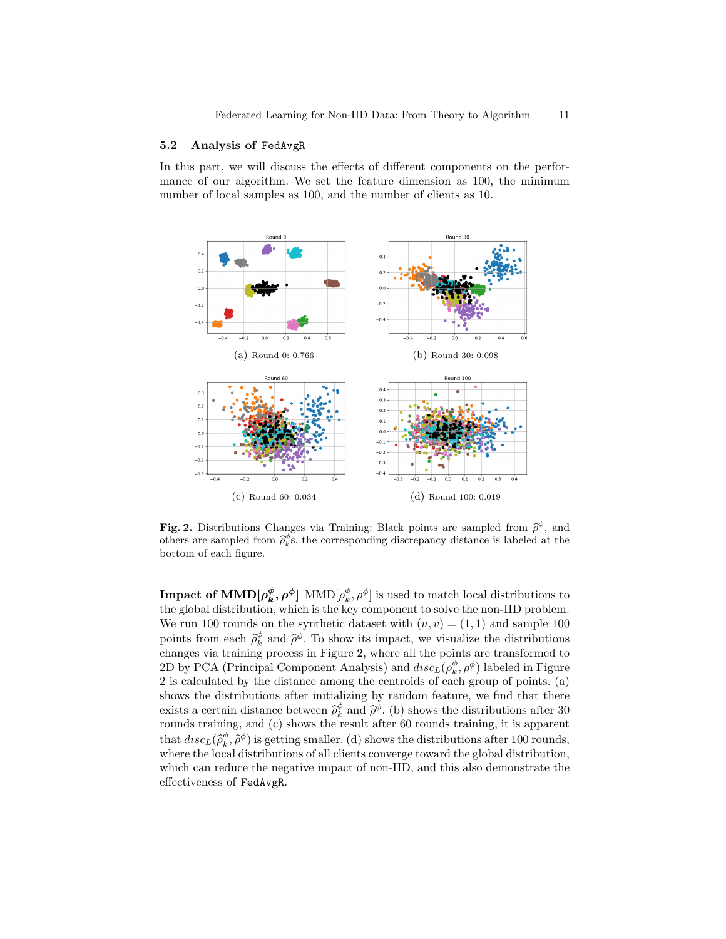## 5.2 Analysis of FedAvgR

In this part, we will discuss the effects of different components on the performance of our algorithm. We set the feature dimension as 100, the minimum number of local samples as 100, and the number of clients as 10.



**Fig. 2.** Distributions Changes via Training: Black points are sampled from  $\hat{\rho}^{\phi}$ , and others are sampled from  $\hat{\beta}^{\phi}$  the corresponding discrepancy distance is labeled at the others are sampled from  $\hat{\rho}_k^{\phi}$ s, the corresponding discrepancy distance is labeled at the better of each figure. bottom of each figure.

**Impact of MMD** $[\rho_k^{\phi}, \rho^{\phi}]$  MMD $[\rho_k^{\phi}, \rho^{\phi}]$  is used to match local distributions to the global distribution, which is the key component to solve the non-IID problem. We run 100 rounds on the synthetic dataset with  $(u, v) = (1, 1)$  and sample 100 points from each  $\hat{\rho}_k^{\phi}$  and  $\hat{\rho}^{\phi}$ . To show its impact, we visualize the distributions changes via training process in Figure 2, where all the points are transformed to changes via training process in Figure 2, where all the points are transformed to 2D by PCA (Principal Component Analysis) and  $disc_L(\rho_k^{\phi}, \rho^{\phi})$  labeled in Figure 2 is calculated by the distance among the centroids of each group of points. (a) shows the distributions after initializing by random feature, we find that there exists a certain distance between  $\hat{\rho}_k^{\phi}$  and  $\hat{\rho}_k^{\phi}$ . (b) shows the distributions after 30 rounds training, and (c) shows the result after 60 rounds training, it is apparent that  $disc_L(\hat{\rho}_k^{\phi}, \hat{\rho}^{\phi})$  is getting smaller. (d) shows the distributions after 100 rounds, where the local distributions of all clients converge toward the global distribution, which can reduce the negative impact of non-IID, and this also demonstrate the effectiveness of FedAvgR.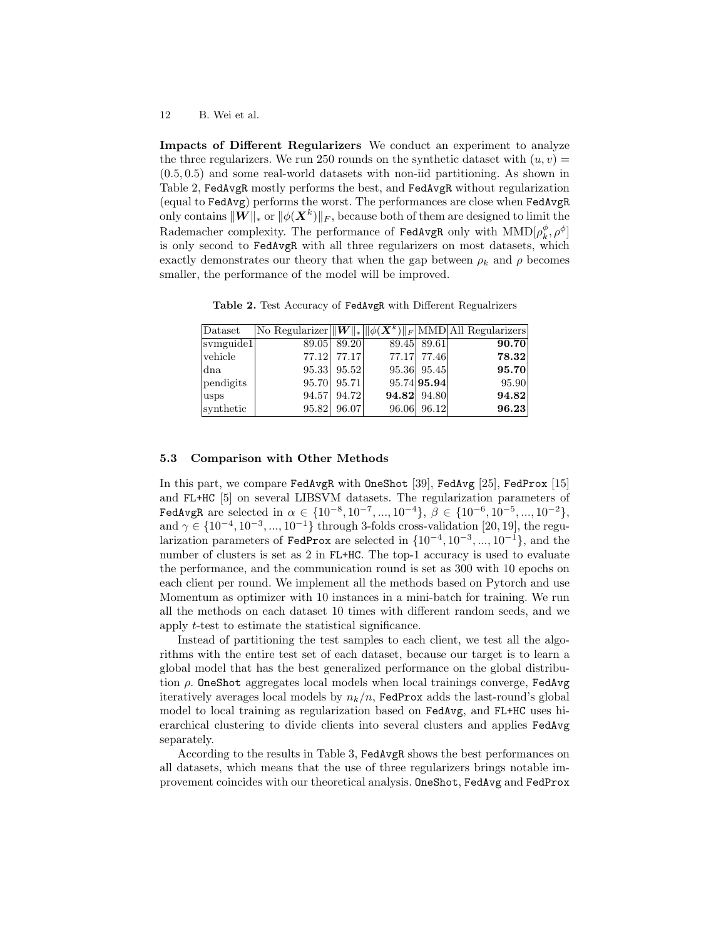Impacts of Different Regularizers We conduct an experiment to analyze the three regularizers. We run 250 rounds on the synthetic dataset with  $(u, v)$  = (0.5, 0.5) and some real-world datasets with non-iid partitioning. As shown in Table 2, FedAvgR mostly performs the best, and FedAvgR without regularization (equal to FedAvg) performs the worst. The performances are close when FedAvgR only contains  $\|\bm{W}\|_*$  or  $\|\phi(\bm{X}^k)\|_F,$  because both of them are designed to limit the Rademacher complexity. The performance of FedAvgR only with  $\mathrm{MMD}[\rho_{k}^{\phi},\rho^{\phi}]$ is only second to FedAvgR with all three regularizers on most datasets, which exactly demonstrates our theory that when the gap between  $\rho_k$  and  $\rho$  becomes smaller, the performance of the model will be improved.

Table 2. Test Accuracy of FedAvgR with Different Regualrizers

| Dataset   |       |             |       |             | No Regularizer $\ W\ _* \ \phi(X^k)\ _F$ MMD All Regularizers |
|-----------|-------|-------------|-------|-------------|---------------------------------------------------------------|
| svmguide1 | 89.05 | 89.20       |       | 89.45 89.61 | 90.70                                                         |
| vehicle   | 77.12 | 77.17       | 77.17 | 77.46       | 78.32                                                         |
| dna       |       | 95.33 95.52 |       | 95.36 95.45 | 95.70                                                         |
| pendigits |       | 95.70 95.71 |       | 95.74 95.94 | 95.90                                                         |
| lusps     | 94.57 | 94.72       |       | 94.82 94.80 | 94.82                                                         |
| synthetic | 95.82 | 96.07       | 96.06 | 96.12       | 96.23                                                         |

## 5.3 Comparison with Other Methods

In this part, we compare FedAvgR with OneShot [39], FedAvg [25], FedProx [15] and FL+HC [5] on several LIBSVM datasets. The regularization parameters of FedAvgR are selected in  $\alpha \in \{10^{-8}, 10^{-7}, ..., 10^{-4}\}, \beta \in \{10^{-6}, 10^{-5}, ..., 10^{-2}\},\$ and  $\gamma \in \{10^{-4}, 10^{-3}, ..., 10^{-1}\}\$  through 3-folds cross-validation [20, 19], the regularization parameters of FedProx are selected in  $\{10^{-4}, 10^{-3}, ..., 10^{-1}\}$ , and the number of clusters is set as 2 in FL+HC. The top-1 accuracy is used to evaluate the performance, and the communication round is set as 300 with 10 epochs on each client per round. We implement all the methods based on Pytorch and use Momentum as optimizer with 10 instances in a mini-batch for training. We run all the methods on each dataset 10 times with different random seeds, and we apply t-test to estimate the statistical significance.

Instead of partitioning the test samples to each client, we test all the algorithms with the entire test set of each dataset, because our target is to learn a global model that has the best generalized performance on the global distribution  $\rho$ . OneShot aggregates local models when local trainings converge, FedAvg iteratively averages local models by  $n_k/n$ , FedProx adds the last-round's global model to local training as regularization based on FedAvg, and FL+HC uses hierarchical clustering to divide clients into several clusters and applies FedAvg separately.

According to the results in Table 3, FedAvgR shows the best performances on all datasets, which means that the use of three regularizers brings notable improvement coincides with our theoretical analysis. OneShot, FedAvg and FedProx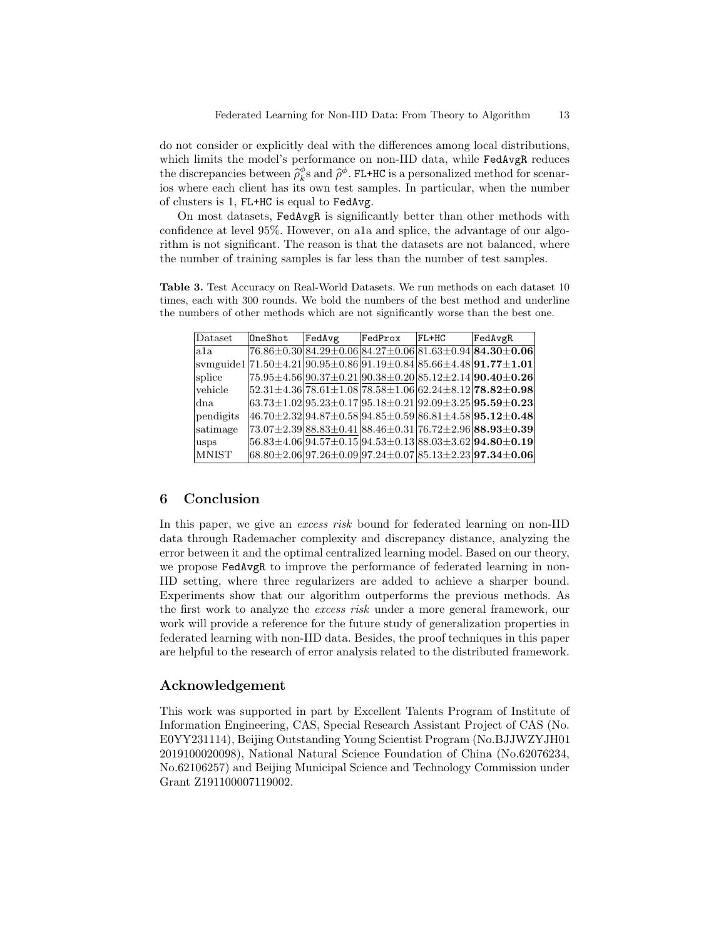do not consider or explicitly deal with the differences among local distributions, which limits the model's performance on non-IID data, while FedAvgR reduces the discrepancies between  $\hat{\rho}_k^{\phi}$ s and  $\hat{\rho}^{\phi}$ . FL+HC is a personalized method for scenar-<br>is whore each client has its own test samples. In particular, when the number ios where each client has its own test samples. In particular, when the number of clusters is 1, FL+HC is equal to FedAvg.

On most datasets, FedAvgR is significantly better than other methods with confidence at level 95%. However, on a1a and splice, the advantage of our algorithm is not significant. The reason is that the datasets are not balanced, where the number of training samples is far less than the number of test samples.

Table 3. Test Accuracy on Real-World Datasets. We run methods on each dataset 10 times, each with 300 rounds. We bold the numbers of the best method and underline the numbers of other methods which are not significantly worse than the best one.

| Dataset          | OneShot | FedAvg | FedProx | $FL+HC$ | FedAvgR                                                                                                                                                                           |
|------------------|---------|--------|---------|---------|-----------------------------------------------------------------------------------------------------------------------------------------------------------------------------------|
| a <sub>1</sub> a |         |        |         |         | $76.86\pm0.30 84.29\pm0.06 84.27\pm0.06 81.63\pm0.94 84.30\pm0.06 $                                                                                                               |
|                  |         |        |         |         | $\frac{ {\rm{symguide1}} 71.50\pm4.21 90.95\pm0.86 91.19\pm0.84 85.66\pm4.48 91.77\pm1.01 }{ {\rm{symguide1}} 71.50\pm4.21 90.95\pm0.86 91.19\pm0.84 85.66\pm4.48 91.77\pm1.01 }$ |
| splice           |         |        |         |         | $[75.95 \pm 4.56] 90.37 \pm 0.21] 90.38 \pm 0.20] 85.12 \pm 2.14]$ 90.40 $\pm$ 0.26                                                                                               |
| vehicle          |         |        |         |         | $52.31 \pm 4.36$ 78.61 $\pm$ 1.08 78.58 $\pm$ 1.06 62.24 $\pm$ 8.12 <b>78.82</b> $\pm$ <b>0.98</b>                                                                                |
| dna.             |         |        |         |         | $63.73 \pm 1.02$ 95.23 $\pm$ 0.17 95.18 $\pm$ 0.21 92.09 $\pm$ 3.25 <b>95.59</b> $\pm$ <b>0.23</b>                                                                                |
| pendigits        |         |        |         |         | $ 46.70 \pm 2.32 94.87 \pm 0.58 94.85 \pm 0.59 86.81 \pm 4.58 {\bf 95.12 \pm 0.48} $                                                                                              |
| satimage         |         |        |         |         | $[73.07 \pm 2.39] 88.83 \pm 0.41] 88.46 \pm 0.31] 76.72 \pm 2.96]$ $88.93 \pm 0.39$                                                                                               |
| usps             |         |        |         |         | $56.83 \pm 4.06   94.57 \pm 0.15   94.53 \pm 0.13   88.03 \pm 3.62   94.80 \pm 0.19  $                                                                                            |
| <b>MNIST</b>     |         |        |         |         | $68.80\pm2.06$ 97.26 $\pm0.09$ 97.24 $\pm0.07$ 85.13 $\pm2.23$ <b>97.34</b> $\pm$ 0.06                                                                                            |

# 6 Conclusion

In this paper, we give an *excess risk* bound for federated learning on non-IID data through Rademacher complexity and discrepancy distance, analyzing the error between it and the optimal centralized learning model. Based on our theory, we propose FedAvgR to improve the performance of federated learning in non-IID setting, where three regularizers are added to achieve a sharper bound. Experiments show that our algorithm outperforms the previous methods. As the first work to analyze the excess risk under a more general framework, our work will provide a reference for the future study of generalization properties in federated learning with non-IID data. Besides, the proof techniques in this paper are helpful to the research of error analysis related to the distributed framework.

# Acknowledgement

This work was supported in part by Excellent Talents Program of Institute of Information Engineering, CAS, Special Research Assistant Project of CAS (No. E0YY231114), Beijing Outstanding Young Scientist Program (No.BJJWZYJH01 2019100020098), National Natural Science Foundation of China (No.62076234, No.62106257) and Beijing Municipal Science and Technology Commission under Grant Z191100007119002.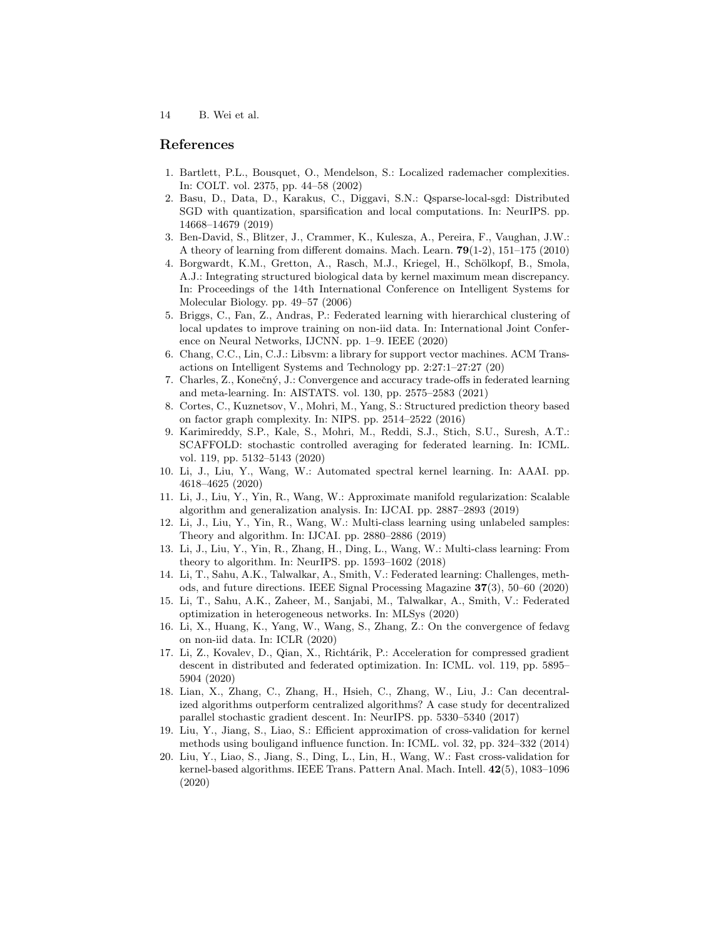# References

- 1. Bartlett, P.L., Bousquet, O., Mendelson, S.: Localized rademacher complexities. In: COLT. vol. 2375, pp. 44–58 (2002)
- 2. Basu, D., Data, D., Karakus, C., Diggavi, S.N.: Qsparse-local-sgd: Distributed SGD with quantization, sparsification and local computations. In: NeurIPS. pp. 14668–14679 (2019)
- 3. Ben-David, S., Blitzer, J., Crammer, K., Kulesza, A., Pereira, F., Vaughan, J.W.: A theory of learning from different domains. Mach. Learn. 79(1-2), 151–175 (2010)
- 4. Borgwardt, K.M., Gretton, A., Rasch, M.J., Kriegel, H., Schölkopf, B., Smola, A.J.: Integrating structured biological data by kernel maximum mean discrepancy. In: Proceedings of the 14th International Conference on Intelligent Systems for Molecular Biology. pp. 49–57 (2006)
- 5. Briggs, C., Fan, Z., Andras, P.: Federated learning with hierarchical clustering of local updates to improve training on non-iid data. In: International Joint Conference on Neural Networks, IJCNN. pp. 1–9. IEEE (2020)
- 6. Chang, C.C., Lin, C.J.: Libsvm: a library for support vector machines. ACM Transactions on Intelligent Systems and Technology pp. 2:27:1–27:27 (20)
- 7. Charles, Z., Konečný, J.: Convergence and accuracy trade-offs in federated learning and meta-learning. In: AISTATS. vol. 130, pp. 2575–2583 (2021)
- 8. Cortes, C., Kuznetsov, V., Mohri, M., Yang, S.: Structured prediction theory based on factor graph complexity. In: NIPS. pp. 2514–2522 (2016)
- 9. Karimireddy, S.P., Kale, S., Mohri, M., Reddi, S.J., Stich, S.U., Suresh, A.T.: SCAFFOLD: stochastic controlled averaging for federated learning. In: ICML. vol. 119, pp. 5132–5143 (2020)
- 10. Li, J., Liu, Y., Wang, W.: Automated spectral kernel learning. In: AAAI. pp. 4618–4625 (2020)
- 11. Li, J., Liu, Y., Yin, R., Wang, W.: Approximate manifold regularization: Scalable algorithm and generalization analysis. In: IJCAI. pp. 2887–2893 (2019)
- 12. Li, J., Liu, Y., Yin, R., Wang, W.: Multi-class learning using unlabeled samples: Theory and algorithm. In: IJCAI. pp. 2880–2886 (2019)
- 13. Li, J., Liu, Y., Yin, R., Zhang, H., Ding, L., Wang, W.: Multi-class learning: From theory to algorithm. In: NeurIPS. pp. 1593–1602 (2018)
- 14. Li, T., Sahu, A.K., Talwalkar, A., Smith, V.: Federated learning: Challenges, methods, and future directions. IEEE Signal Processing Magazine 37(3), 50–60 (2020)
- 15. Li, T., Sahu, A.K., Zaheer, M., Sanjabi, M., Talwalkar, A., Smith, V.: Federated optimization in heterogeneous networks. In: MLSys (2020)
- 16. Li, X., Huang, K., Yang, W., Wang, S., Zhang, Z.: On the convergence of fedavg on non-iid data. In: ICLR (2020)
- 17. Li, Z., Kovalev, D., Qian, X., Richtárik, P.: Acceleration for compressed gradient descent in distributed and federated optimization. In: ICML. vol. 119, pp. 5895– 5904 (2020)
- 18. Lian, X., Zhang, C., Zhang, H., Hsieh, C., Zhang, W., Liu, J.: Can decentralized algorithms outperform centralized algorithms? A case study for decentralized parallel stochastic gradient descent. In: NeurIPS. pp. 5330–5340 (2017)
- 19. Liu, Y., Jiang, S., Liao, S.: Efficient approximation of cross-validation for kernel methods using bouligand influence function. In: ICML. vol. 32, pp. 324–332 (2014)
- 20. Liu, Y., Liao, S., Jiang, S., Ding, L., Lin, H., Wang, W.: Fast cross-validation for kernel-based algorithms. IEEE Trans. Pattern Anal. Mach. Intell. 42(5), 1083–1096 (2020)